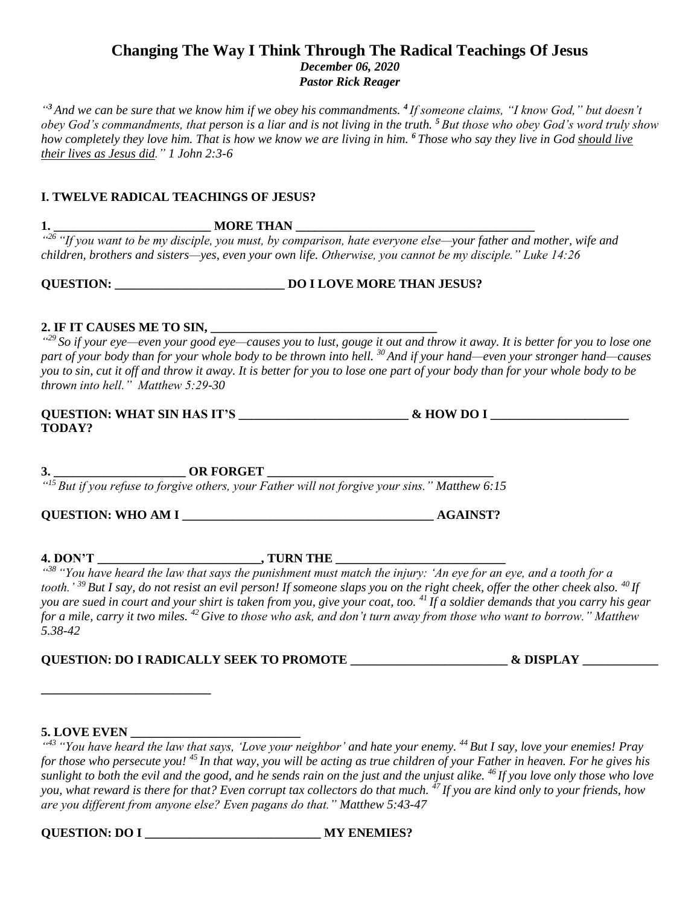# **Changing The Way I Think Through The Radical Teachings Of Jesus** *December 06, 2020*

*Pastor Rick Reager*

*" <sup>3</sup> And we can be sure that we know him if we obey his commandments. <sup>4</sup> If someone claims, "I know God," but doesn't obey God's commandments, that person is a liar and is not living in the truth. <sup>5</sup> But those who obey God's word truly show how completely they love him. That is how we know we are living in him. <sup>6</sup> Those who say they live in God should live their lives as Jesus did." 1 John 2:3-6*

### **I. TWELVE RADICAL TEACHINGS OF JESUS?**

**1. \_\_\_\_\_\_\_\_\_\_\_\_\_\_\_\_\_\_\_\_\_\_\_\_\_ MORE THAN \_\_\_\_\_\_\_\_\_\_\_\_\_\_\_\_\_\_\_\_\_\_\_\_\_\_\_\_\_\_\_\_\_\_\_\_\_\_**

<sup>426</sup> "If you want to be my disciple, you must, by comparison, hate everyone else—your father and mother, wife and *children, brothers and sisters—yes, even your own life. Otherwise, you cannot be my disciple." Luke 14:26*

## **DO I LOVE MORE THAN JESUS?**

### **2. IF IT CAUSES ME TO SIN, \_\_\_\_\_\_\_\_\_\_\_\_\_\_\_\_\_\_\_\_\_\_\_\_\_\_\_\_\_\_\_\_\_\_\_\_**

*" <sup>29</sup> So if your eye—even your good eye—causes you to lust, gouge it out and throw it away. It is better for you to lose one part of your body than for your whole body to be thrown into hell. <sup>30</sup> And if your hand—even your stronger hand—causes you to sin, cut it off and throw it away. It is better for you to lose one part of your body than for your whole body to be thrown into hell." Matthew 5:29-30*

| <b>QUESTION: WHAT SIN HAS IT'S</b> | & HOW DO I |  |
|------------------------------------|------------|--|
| <b>TODAY?</b>                      |            |  |

**3. \_\_\_\_\_\_\_\_\_\_\_\_\_\_\_\_\_\_\_\_\_ OR FORGET \_\_\_\_\_\_\_\_\_\_\_\_\_\_\_\_\_\_\_\_\_\_\_\_\_\_\_\_\_\_\_\_\_\_\_\_**

*" <sup>15</sup> But if you refuse to forgive others, your Father will not forgive your sins." Matthew 6:15*

**QUESTION: WHO AM I \_\_\_\_\_\_\_\_\_\_\_\_\_\_\_\_\_\_\_\_\_\_\_\_\_\_\_\_\_\_\_\_\_\_\_\_\_\_\_\_ AGAINST?**

**4. DON'T \_\_\_\_\_\_\_\_\_\_\_\_\_\_\_\_\_\_\_\_\_\_\_\_\_\_, TURN THE \_\_\_\_\_\_\_\_\_\_\_\_\_\_\_\_\_\_\_\_\_\_\_\_\_\_\_**

*" <sup>38</sup> "You have heard the law that says the punishment must match the injury: 'An eye for an eye, and a tooth for a tooth.' <sup>39</sup> But I say, do not resist an evil person! If someone slaps you on the right cheek, offer the other cheek also. <sup>40</sup> If you are sued in court and your shirt is taken from you, give your coat, too. <sup>41</sup> If a soldier demands that you carry his gear for a mile, carry it two miles. <sup>42</sup> Give to those who ask, and don't turn away from those who want to borrow." Matthew 5.38-42*

**QUESTION: DO I RADICALLY SEEK TO PROMOTE \_\_\_\_\_\_\_\_\_\_\_\_\_\_\_\_\_\_\_\_\_\_\_\_\_ & DISPLAY \_\_\_\_\_\_\_\_\_\_\_\_**

# **5. LOVE EVEN \_\_\_\_\_\_\_\_\_\_\_\_\_\_\_\_\_\_\_\_\_\_\_\_\_\_\_**

**\_\_\_\_\_\_\_\_\_\_\_\_\_\_\_\_\_\_\_\_\_\_\_\_\_\_\_**

*" <sup>43</sup> "You have heard the law that says, 'Love your neighbor' and hate your enemy. <sup>44</sup> But I say, love your enemies! Pray for those who persecute you! <sup>45</sup> In that way, you will be acting as true children of your Father in heaven. For he gives his sunlight to both the evil and the good, and he sends rain on the just and the unjust alike. <sup>46</sup> If you love only those who love you, what reward is there for that? Even corrupt tax collectors do that much. <sup>47</sup> If you are kind only to your friends, how are you different from anyone else? Even pagans do that." Matthew 5:43-47*

**QUESTION: DO I \_\_\_\_\_\_\_\_\_\_\_\_\_\_\_\_\_\_\_\_\_\_\_\_\_\_\_\_ MY ENEMIES?**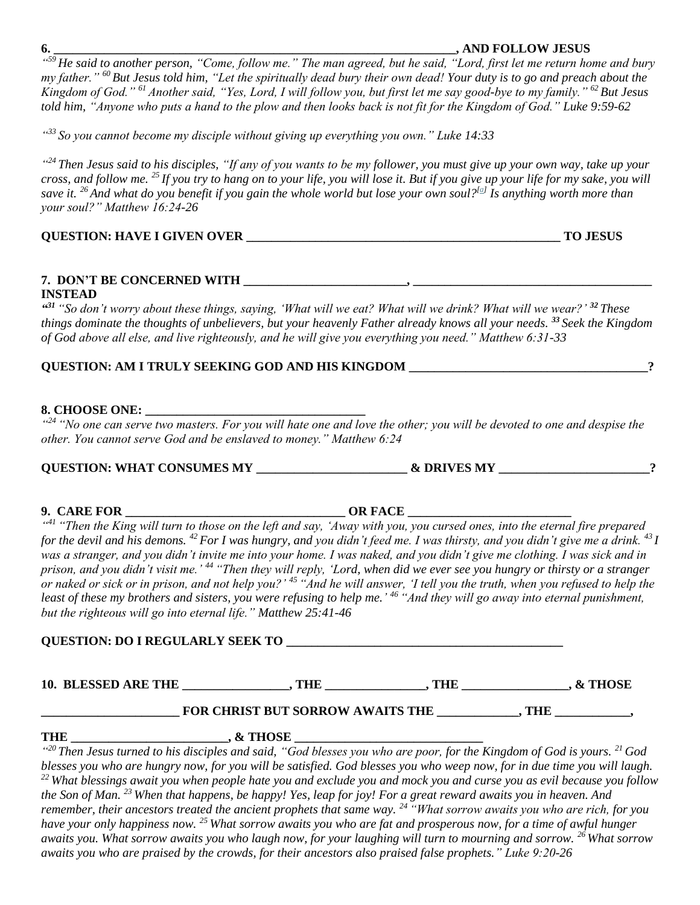#### **6. \_\_\_\_\_\_\_\_\_\_\_\_\_\_\_\_\_\_\_\_\_\_\_\_\_\_\_\_\_\_\_\_\_\_\_\_\_\_\_\_\_\_\_\_\_\_\_\_\_\_\_\_\_\_\_\_\_\_\_\_\_\_\_\_, AND FOLLOW JESUS**

*" <sup>59</sup> He said to another person, "Come, follow me." The man agreed, but he said, "Lord, first let me return home and bury my father." <sup>60</sup> But Jesus told him, "Let the spiritually dead bury their own dead! Your duty is to go and preach about the Kingdom of God." <sup>61</sup> Another said, "Yes, Lord, I will follow you, but first let me say good-bye to my family." <sup>62</sup> But Jesus told him, "Anyone who puts a hand to the plow and then looks back is not fit for the Kingdom of God." Luke 9:59-62*

*" <sup>33</sup> So you cannot become my disciple without giving up everything you own." Luke 14:33*

*" <sup>24</sup> Then Jesus said to his disciples, "If any of you wants to be my follower, you must give up your own way, take up your cross, and follow me. <sup>25</sup> If you try to hang on to your life, you will lose it. But if you give up your life for my sake, you will save it. <sup>26</sup> And what do you benefit if you gain the whole world but lose your own soul?[\[a\]](https://www.biblegateway.com/passage/?search=Matthew%2016%3A24-26&version=NLT#fen-NLT-23675a) Is anything worth more than your soul?" Matthew 16:24-26*

## **QUESTION: HAVE I GIVEN OVER \_\_\_\_\_\_\_\_\_\_\_\_\_\_\_\_\_\_\_\_\_\_\_\_\_\_\_\_\_\_\_\_\_\_\_\_\_\_\_\_\_\_\_\_\_\_\_\_\_\_ TO JESUS**

#### **7. DON'T BE CONCERNED WITH \_\_\_\_\_\_\_\_\_\_\_\_\_\_\_\_\_\_\_\_\_\_\_\_\_\_, \_\_\_\_\_\_\_\_\_\_\_\_\_\_\_\_\_\_\_\_\_\_\_\_\_\_\_\_\_\_\_\_\_\_\_\_\_\_ INSTEAD**

*" <sup>31</sup> "So don't worry about these things, saying, 'What will we eat? What will we drink? What will we wear?' <sup>32</sup> These things dominate the thoughts of unbelievers, but your heavenly Father already knows all your needs. <sup>33</sup> Seek the Kingdom of God above all else, and live righteously, and he will give you everything you need." Matthew 6:31-33*

## **QUESTION: AM I TRULY SEEKING GOD AND HIS KINGDOM \_\_\_\_\_\_\_\_\_\_\_\_\_\_\_\_\_\_\_\_\_\_\_\_\_\_\_\_\_\_\_\_\_\_\_\_\_\_?**

### **8. CHOOSE ONE: \_\_\_\_\_\_\_\_\_\_\_\_\_\_\_\_\_\_\_\_\_\_\_\_\_\_\_\_\_\_\_\_\_\_\_**

*" <sup>24</sup> "No one can serve two masters. For you will hate one and love the other; you will be devoted to one and despise the other. You cannot serve God and be enslaved to money." Matthew 6:24*

**QUESTION: WHAT CONSUMES MY \_\_\_\_\_\_\_\_\_\_\_\_\_\_\_\_\_\_\_\_\_\_\_\_ & DRIVES MY \_\_\_\_\_\_\_\_\_\_\_\_\_\_\_\_\_\_\_\_\_\_\_\_?**

| <b>QUESTION: WHAT CONSUMES MY</b> |  |
|-----------------------------------|--|
|-----------------------------------|--|

# **9. CARE FOR \_\_\_\_\_\_\_\_\_\_\_\_\_\_\_\_\_\_\_\_\_\_\_\_\_\_\_\_\_\_\_\_\_\_\_ OR FACE \_\_\_\_\_\_\_\_\_\_\_\_\_\_\_\_\_\_\_\_\_\_\_\_\_\_**

<sup>441</sup> "Then the King will turn to those on the left and say, 'Away with you, you cursed ones, into the eternal fire prepared *for the devil and his demons. <sup>42</sup> For I was hungry, and you didn't feed me. I was thirsty, and you didn't give me a drink. <sup>43</sup> I was a stranger, and you didn't invite me into your home. I was naked, and you didn't give me clothing. I was sick and in prison, and you didn't visit me.' <sup>44</sup> "Then they will reply, 'Lord, when did we ever see you hungry or thirsty or a stranger or naked or sick or in prison, and not help you?' <sup>45</sup> "And he will answer, 'I tell you the truth, when you refused to help the least of these my brothers and sisters, you were refusing to help me.' <sup>46</sup> "And they will go away into eternal punishment, but the righteous will go into eternal life." Matthew 25:41-46*

**QUESTION: DO I REGULARLY SEEK TO \_\_\_\_\_\_\_\_\_\_\_\_\_\_\_\_\_\_\_\_\_\_\_\_\_\_\_\_\_\_\_\_\_\_\_\_\_\_\_\_\_\_\_\_**

**10. BLESSED ARE THE \_\_\_\_\_\_\_\_\_\_\_\_\_\_\_\_\_, THE \_\_\_\_\_\_\_\_\_\_\_\_\_\_\_\_, THE \_\_\_\_\_\_\_\_\_\_\_\_\_\_\_\_\_, & THOSE**

# **FOR CHRIST BUT SORROW AWAITS THE \_\_\_\_\_\_\_\_\_\_\_, THE \_\_\_\_\_\_\_\_\_\_,**

THE  $\cdot \text{ & }$ 

*" <sup>20</sup> Then Jesus turned to his disciples and said, "God blesses you who are poor, for the Kingdom of God is yours. <sup>21</sup> God blesses you who are hungry now, for you will be satisfied. God blesses you who weep now, for in due time you will laugh. <sup>22</sup> What blessings await you when people hate you and exclude you and mock you and curse you as evil because you follow the Son of Man. <sup>23</sup> When that happens, be happy! Yes, leap for joy! For a great reward awaits you in heaven. And remember, their ancestors treated the ancient prophets that same way. <sup>24</sup> "What sorrow awaits you who are rich, for you have your only happiness now. <sup>25</sup> What sorrow awaits you who are fat and prosperous now, for a time of awful hunger awaits you. What sorrow awaits you who laugh now, for your laughing will turn to mourning and sorrow. <sup>26</sup> What sorrow awaits you who are praised by the crowds, for their ancestors also praised false prophets." Luke 9:20-26*